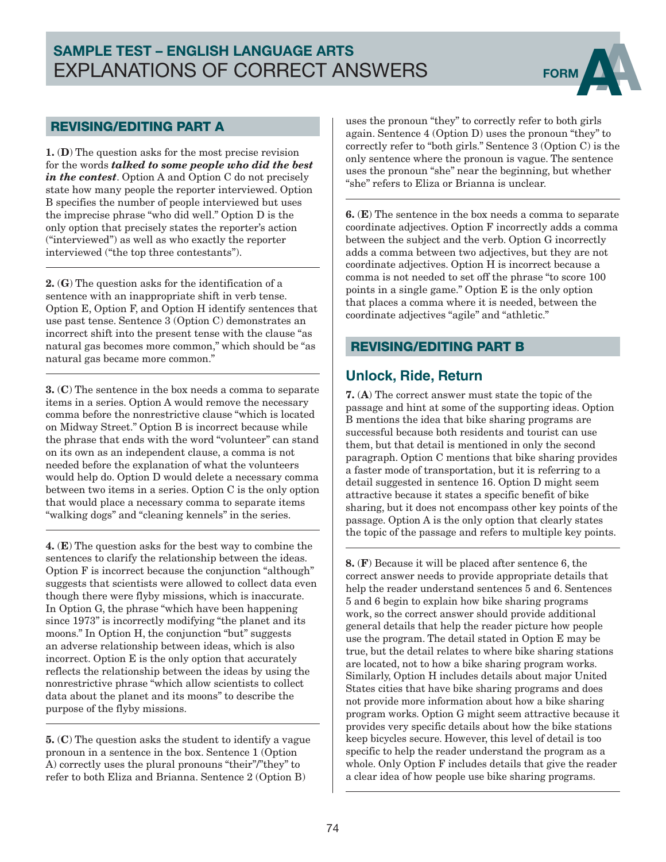# SAMPLE TEST – ENGLISH LANGUAGE ARTS EXPLANATIONS OF CORRECT ANSWERS FORM



#### REVISING/EDITING PART A

1. (D) The question asks for the most precise revision for the words *talked to some people who did the best in the contest*. Option A and Option C do not precisely state how many people the reporter interviewed. Option B specifies the number of people interviewed but uses the imprecise phrase "who did well." Option D is the only option that precisely states the reporter's action ("interviewed") as well as who exactly the reporter interviewed ("the top three contestants").

2. (G) The question asks for the identification of a sentence with an inappropriate shift in verb tense. Option E, Option F, and Option H identify sentences that use past tense. Sentence 3 (Option C) demonstrates an incorrect shift into the present tense with the clause "as natural gas becomes more common," which should be "as natural gas became more common."

3. (C) The sentence in the box needs a comma to separate items in a series. Option A would remove the necessary comma before the nonrestrictive clause "which is located on Midway Street." Option B is incorrect because while the phrase that ends with the word "volunteer" can stand on its own as an independent clause, a comma is not needed before the explanation of what the volunteers would help do. Option D would delete a necessary comma between two items in a series. Option C is the only option that would place a necessary comma to separate items "walking dogs" and "cleaning kennels" in the series.

4. (E) The question asks for the best way to combine the sentences to clarify the relationship between the ideas. Option F is incorrect because the conjunction "although" suggests that scientists were allowed to collect data even though there were flyby missions, which is inaccurate. In Option G, the phrase "which have been happening since 1973" is incorrectly modifying "the planet and its moons." In Option H, the conjunction "but" suggests an adverse relationship between ideas, which is also incorrect. Option E is the only option that accurately reflects the relationship between the ideas by using the nonrestrictive phrase "which allow scientists to collect data about the planet and its moons" to describe the purpose of the flyby missions.

5. (C) The question asks the student to identify a vague pronoun in a sentence in the box. Sentence 1 (Option A) correctly uses the plural pronouns "their"/"they" to refer to both Eliza and Brianna. Sentence 2 (Option B)

uses the pronoun "they" to correctly refer to both girls again. Sentence 4 (Option D) uses the pronoun "they" to correctly refer to "both girls." Sentence 3 (Option C) is the only sentence where the pronoun is vague. The sentence uses the pronoun "she" near the beginning, but whether "she" refers to Eliza or Brianna is unclear.

6. (E) The sentence in the box needs a comma to separate coordinate adjectives. Option F incorrectly adds a comma between the subject and the verb. Option G incorrectly adds a comma between two adjectives, but they are not coordinate adjectives. Option H is incorrect because a comma is not needed to set off the phrase "to score 100 points in a single game." Option E is the only option that places a comma where it is needed, between the coordinate adjectives "agile" and "athletic."

#### REVISING/EDITING PART B

## **Unlock, Ride, Return**

7. (A) The correct answer must state the topic of the passage and hint at some of the supporting ideas. Option B mentions the idea that bike sharing programs are successful because both residents and tourist can use them, but that detail is mentioned in only the second paragraph. Option C mentions that bike sharing provides a faster mode of transportation, but it is referring to a detail suggested in sentence 16. Option D might seem attractive because it states a specific benefit of bike sharing, but it does not encompass other key points of the passage. Option A is the only option that clearly states the topic of the passage and refers to multiple key points.

8. (F) Because it will be placed after sentence 6, the correct answer needs to provide appropriate details that help the reader understand sentences 5 and 6. Sentences 5 and 6 begin to explain how bike sharing programs work, so the correct answer should provide additional general details that help the reader picture how people use the program. The detail stated in Option E may be true, but the detail relates to where bike sharing stations are located, not to how a bike sharing program works. Similarly, Option H includes details about major United States cities that have bike sharing programs and does not provide more information about how a bike sharing program works. Option G might seem attractive because it provides very specific details about how the bike stations keep bicycles secure. However, this level of detail is too specific to help the reader understand the program as a whole. Only Option F includes details that give the reader a clear idea of how people use bike sharing programs.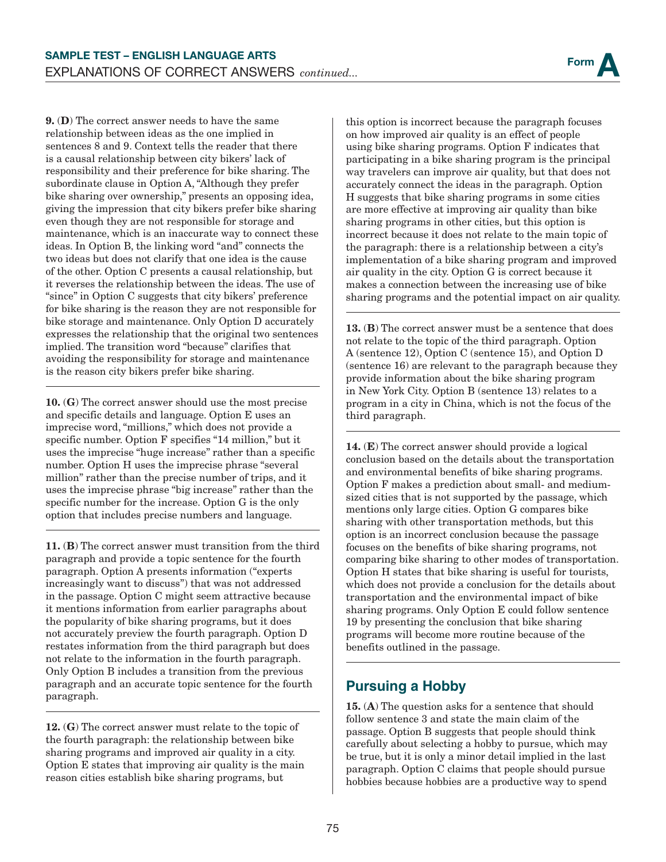

9. (D) The correct answer needs to have the same relationship between ideas as the one implied in sentences 8 and 9. Context tells the reader that there is a causal relationship between city bikers' lack of responsibility and their preference for bike sharing. The subordinate clause in Option A, "Although they prefer bike sharing over ownership," presents an opposing idea, giving the impression that city bikers prefer bike sharing even though they are not responsible for storage and maintenance, which is an inaccurate way to connect these ideas. In Option B, the linking word "and" connects the two ideas but does not clarify that one idea is the cause of the other. Option C presents a causal relationship, but it reverses the relationship between the ideas. The use of "since" in Option C suggests that city bikers' preference for bike sharing is the reason they are not responsible for bike storage and maintenance. Only Option D accurately expresses the relationship that the original two sentences implied. The transition word "because" clarifies that avoiding the responsibility for storage and maintenance is the reason city bikers prefer bike sharing.

10. (G) The correct answer should use the most precise and specific details and language. Option E uses an imprecise word, "millions," which does not provide a specific number. Option F specifies "14 million," but it uses the imprecise "huge increase" rather than a specific number. Option H uses the imprecise phrase "several million" rather than the precise number of trips, and it uses the imprecise phrase "big increase" rather than the specific number for the increase. Option G is the only option that includes precise numbers and language.

11. (B) The correct answer must transition from the third paragraph and provide a topic sentence for the fourth paragraph. Option A presents information ("experts increasingly want to discuss") that was not addressed in the passage. Option C might seem attractive because it mentions information from earlier paragraphs about the popularity of bike sharing programs, but it does not accurately preview the fourth paragraph. Option D restates information from the third paragraph but does not relate to the information in the fourth paragraph. Only Option B includes a transition from the previous paragraph and an accurate topic sentence for the fourth paragraph.

12. (G) The correct answer must relate to the topic of the fourth paragraph: the relationship between bike sharing programs and improved air quality in a city. Option E states that improving air quality is the main reason cities establish bike sharing programs, but

this option is incorrect because the paragraph focuses on how improved air quality is an effect of people using bike sharing programs. Option F indicates that participating in a bike sharing program is the principal way travelers can improve air quality, but that does not accurately connect the ideas in the paragraph. Option H suggests that bike sharing programs in some cities are more effective at improving air quality than bike sharing programs in other cities, but this option is incorrect because it does not relate to the main topic of the paragraph: there is a relationship between a city's implementation of a bike sharing program and improved air quality in the city. Option G is correct because it makes a connection between the increasing use of bike sharing programs and the potential impact on air quality.

13. (B) The correct answer must be a sentence that does not relate to the topic of the third paragraph. Option A (sentence 12), Option C (sentence 15), and Option D (sentence 16) are relevant to the paragraph because they provide information about the bike sharing program in New York City. Option B (sentence 13) relates to a program in a city in China, which is not the focus of the third paragraph.

14. (E) The correct answer should provide a logical conclusion based on the details about the transportation and environmental benefits of bike sharing programs. Option F makes a prediction about small- and mediumsized cities that is not supported by the passage, which mentions only large cities. Option G compares bike sharing with other transportation methods, but this option is an incorrect conclusion because the passage focuses on the benefits of bike sharing programs, not comparing bike sharing to other modes of transportation. Option H states that bike sharing is useful for tourists, which does not provide a conclusion for the details about transportation and the environmental impact of bike sharing programs. Only Option E could follow sentence 19 by presenting the conclusion that bike sharing programs will become more routine because of the benefits outlined in the passage.

## **Pursuing a Hobby**

15. (A) The question asks for a sentence that should follow sentence 3 and state the main claim of the passage. Option B suggests that people should think carefully about selecting a hobby to pursue, which may be true, but it is only a minor detail implied in the last paragraph. Option C claims that people should pursue hobbies because hobbies are a productive way to spend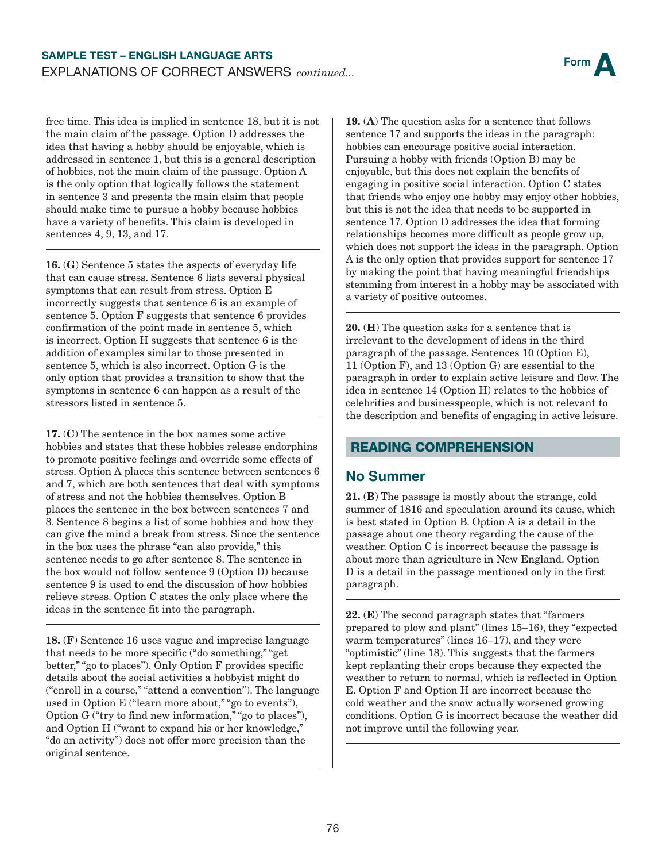free time. This idea is implied in sentence 18, but it is not the main claim of the passage. Option D addresses the idea that having a hobby should be enjoyable, which is addressed in sentence 1, but this is a general description of hobbies, not the main claim of the passage. Option A is the only option that logically follows the statement in sentence 3 and presents the main claim that people should make time to pursue a hobby because hobbies have a variety of benefits. This claim is developed in sentences 4, 9, 13, and 17.

16. (G) Sentence 5 states the aspects of everyday life that can cause stress. Sentence 6 lists several physical symptoms that can result from stress. Option E incorrectly suggests that sentence 6 is an example of sentence 5. Option F suggests that sentence 6 provides confirmation of the point made in sentence 5, which is incorrect. Option H suggests that sentence 6 is the addition of examples similar to those presented in sentence 5, which is also incorrect. Option G is the only option that provides a transition to show that the symptoms in sentence 6 can happen as a result of the stressors listed in sentence 5.

17. (C) The sentence in the box names some active hobbies and states that these hobbies release endorphins to promote positive feelings and override some effects of stress. Option A places this sentence between sentences 6 and 7, which are both sentences that deal with symptoms of stress and not the hobbies themselves. Option B places the sentence in the box between sentences 7 and 8. Sentence 8 begins a list of some hobbies and how they can give the mind a break from stress. Since the sentence in the box uses the phrase "can also provide," this sentence needs to go after sentence 8. The sentence in the box would not follow sentence 9 (Option D) because sentence 9 is used to end the discussion of how hobbies relieve stress. Option C states the only place where the ideas in the sentence fit into the paragraph.

18. (F) Sentence 16 uses vague and imprecise language that needs to be more specific ("do something," "get better," "go to places"). Only Option F provides specific details about the social activities a hobbyist might do ("enroll in a course," "attend a convention"). The language used in Option E ("learn more about," "go to events"), Option G ("try to find new information," "go to places"), and Option H ("want to expand his or her knowledge," "do an activity") does not offer more precision than the original sentence.

19. (A) The question asks for a sentence that follows sentence 17 and supports the ideas in the paragraph: hobbies can encourage positive social interaction. Pursuing a hobby with friends (Option B) may be enjoyable, but this does not explain the benefits of engaging in positive social interaction. Option C states that friends who enjoy one hobby may enjoy other hobbies, but this is not the idea that needs to be supported in sentence 17. Option D addresses the idea that forming relationships becomes more difficult as people grow up, which does not support the ideas in the paragraph. Option A is the only option that provides support for sentence 17 by making the point that having meaningful friendships stemming from interest in a hobby may be associated with a variety of positive outcomes.

20. (H) The question asks for a sentence that is irrelevant to the development of ideas in the third paragraph of the passage. Sentences 10 (Option E), 11 (Option F), and 13 (Option G) are essential to the paragraph in order to explain active leisure and flow. The idea in sentence 14 (Option H) relates to the hobbies of celebrities and businesspeople, which is not relevant to the description and benefits of engaging in active leisure.

#### READING COMPREHENSION

#### **No Summer**

21. (B) The passage is mostly about the strange, cold summer of 1816 and speculation around its cause, which is best stated in Option B. Option A is a detail in the passage about one theory regarding the cause of the weather. Option C is incorrect because the passage is about more than agriculture in New England. Option D is a detail in the passage mentioned only in the first paragraph.

 $22.$  (E) The second paragraph states that "farmers" prepared to plow and plant" (lines 15–16), they "expected warm temperatures" (lines 16–17), and they were "optimistic" (line 18). This suggests that the farmers kept replanting their crops because they expected the weather to return to normal, which is reflected in Option E. Option F and Option H are incorrect because the cold weather and the snow actually worsened growing conditions. Option G is incorrect because the weather did not improve until the following year.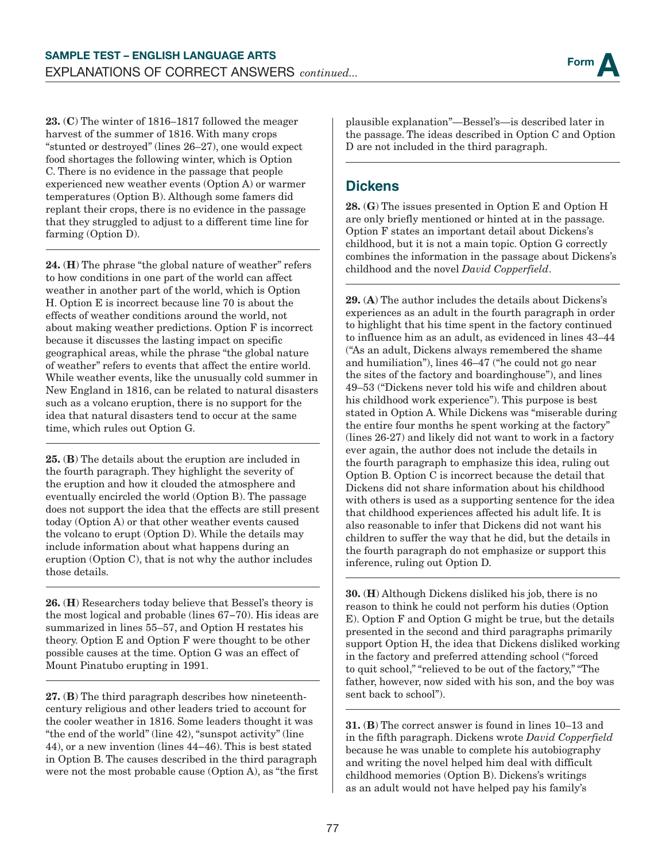

23. (C) The winter of 1816–1817 followed the meager harvest of the summer of 1816. With many crops "stunted or destroyed" (lines 26–27), one would expect food shortages the following winter, which is Option C. There is no evidence in the passage that people experienced new weather events (Option A) or warmer temperatures (Option B). Although some famers did replant their crops, there is no evidence in the passage that they struggled to adjust to a different time line for farming (Option D).

24. (H) The phrase "the global nature of weather" refers to how conditions in one part of the world can affect weather in another part of the world, which is Option H. Option E is incorrect because line 70 is about the effects of weather conditions around the world, not about making weather predictions. Option F is incorrect because it discusses the lasting impact on specific geographical areas, while the phrase "the global nature of weather" refers to events that affect the entire world. While weather events, like the unusually cold summer in New England in 1816, can be related to natural disasters such as a volcano eruption, there is no support for the idea that natural disasters tend to occur at the same time, which rules out Option G.

25. (B) The details about the eruption are included in the fourth paragraph. They highlight the severity of the eruption and how it clouded the atmosphere and eventually encircled the world (Option B). The passage does not support the idea that the effects are still present today (Option A) or that other weather events caused the volcano to erupt (Option D). While the details may include information about what happens during an eruption (Option C), that is not why the author includes those details.

26. (H) Researchers today believe that Bessel's theory is the most logical and probable (lines 67−70). His ideas are summarized in lines 55–57, and Option H restates his theory. Option E and Option F were thought to be other possible causes at the time. Option G was an effect of Mount Pinatubo erupting in 1991.

27. (B) The third paragraph describes how nineteenthcentury religious and other leaders tried to account for the cooler weather in 1816. Some leaders thought it was "the end of the world" (line 42), "sunspot activity" (line 44), or a new invention (lines 44−46). This is best stated in Option B. The causes described in the third paragraph were not the most probable cause (Option A), as "the first

plausible explanation"—Bessel's—is described later in the passage. The ideas described in Option C and Option D are not included in the third paragraph.

#### **Dickens**

28. (G) The issues presented in Option E and Option H are only briefly mentioned or hinted at in the passage. Option F states an important detail about Dickens's childhood, but it is not a main topic. Option G correctly combines the information in the passage about Dickens's childhood and the novel *David Copperfield*.

29. (A) The author includes the details about Dickens's experiences as an adult in the fourth paragraph in order to highlight that his time spent in the factory continued to influence him as an adult, as evidenced in lines 43–44 ("As an adult, Dickens always remembered the shame and humiliation"), lines 46–47 ("he could not go near the sites of the factory and boardinghouse"), and lines 49–53 ("Dickens never told his wife and children about his childhood work experience"). This purpose is best stated in Option A. While Dickens was "miserable during the entire four months he spent working at the factory" (lines 26-27) and likely did not want to work in a factory ever again, the author does not include the details in the fourth paragraph to emphasize this idea, ruling out Option B. Option C is incorrect because the detail that Dickens did not share information about his childhood with others is used as a supporting sentence for the idea that childhood experiences affected his adult life. It is also reasonable to infer that Dickens did not want his children to suffer the way that he did, but the details in the fourth paragraph do not emphasize or support this inference, ruling out Option D.

30. (H) Although Dickens disliked his job, there is no reason to think he could not perform his duties (Option E). Option F and Option G might be true, but the details presented in the second and third paragraphs primarily support Option H, the idea that Dickens disliked working in the factory and preferred attending school ("forced to quit school," "relieved to be out of the factory," "The father, however, now sided with his son, and the boy was sent back to school").

31. (B) The correct answer is found in lines 10–13 and in the fifth paragraph. Dickens wrote *David Copperfield* because he was unable to complete his autobiography and writing the novel helped him deal with difficult childhood memories (Option B). Dickens's writings as an adult would not have helped pay his family's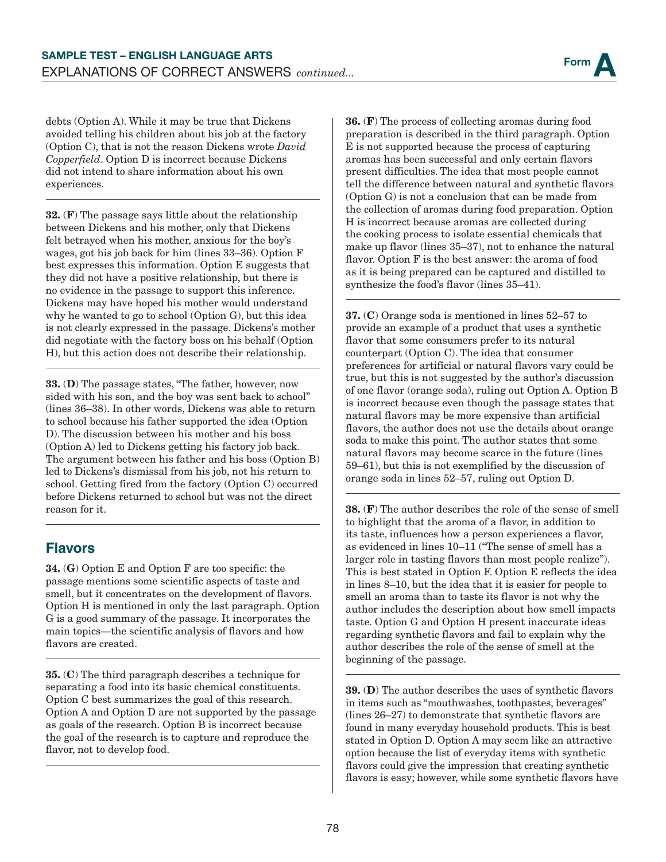debts (Option A). While it may be true that Dickens avoided telling his children about his job at the factory (Option C), that is not the reason Dickens wrote *David Copperfield*. Option D is incorrect because Dickens did not intend to share information about his own experiences.

32. (F) The passage says little about the relationship between Dickens and his mother, only that Dickens felt betrayed when his mother, anxious for the boy's wages, got his job back for him (lines 33–36). Option F best expresses this information. Option E suggests that they did not have a positive relationship, but there is no evidence in the passage to support this inference. Dickens may have hoped his mother would understand why he wanted to go to school (Option G), but this idea is not clearly expressed in the passage. Dickens's mother did negotiate with the factory boss on his behalf (Option H), but this action does not describe their relationship.

33. (D) The passage states, "The father, however, now sided with his son, and the boy was sent back to school" (lines 36–38). In other words, Dickens was able to return to school because his father supported the idea (Option D). The discussion between his mother and his boss (Option A) led to Dickens getting his factory job back. The argument between his father and his boss (Option B) led to Dickens's dismissal from his job, not his return to school. Getting fired from the factory (Option C) occurred before Dickens returned to school but was not the direct reason for it.

## **Flavors**

34. (G) Option E and Option F are too specific: the passage mentions some scientific aspects of taste and smell, but it concentrates on the development of flavors. Option H is mentioned in only the last paragraph. Option G is a good summary of the passage. It incorporates the main topics—the scientific analysis of flavors and how flavors are created.

35. (C) The third paragraph describes a technique for separating a food into its basic chemical constituents. Option C best summarizes the goal of this research. Option A and Option D are not supported by the passage as goals of the research. Option B is incorrect because the goal of the research is to capture and reproduce the flavor, not to develop food.

36. (F) The process of collecting aromas during food preparation is described in the third paragraph. Option E is not supported because the process of capturing aromas has been successful and only certain flavors present difficulties. The idea that most people cannot tell the difference between natural and synthetic flavors (Option G) is not a conclusion that can be made from the collection of aromas during food preparation. Option H is incorrect because aromas are collected during the cooking process to isolate essential chemicals that make up flavor (lines 35–37), not to enhance the natural flavor. Option F is the best answer: the aroma of food as it is being prepared can be captured and distilled to synthesize the food's flavor (lines 35–41).

37. (C) Orange soda is mentioned in lines 52–57 to provide an example of a product that uses a synthetic flavor that some consumers prefer to its natural counterpart (Option C). The idea that consumer preferences for artificial or natural flavors vary could be true, but this is not suggested by the author's discussion of one flavor (orange soda), ruling out Option A. Option B is incorrect because even though the passage states that natural flavors may be more expensive than artificial flavors, the author does not use the details about orange soda to make this point. The author states that some natural flavors may become scarce in the future (lines 59–61), but this is not exemplified by the discussion of orange soda in lines 52–57, ruling out Option D.

38. (F) The author describes the role of the sense of smell to highlight that the aroma of a flavor, in addition to its taste, influences how a person experiences a flavor, as evidenced in lines 10–11 ("The sense of smell has a larger role in tasting flavors than most people realize"). This is best stated in Option F. Option E reflects the idea in lines 8–10, but the idea that it is easier for people to smell an aroma than to taste its flavor is not why the author includes the description about how smell impacts taste. Option G and Option H present inaccurate ideas regarding synthetic flavors and fail to explain why the author describes the role of the sense of smell at the beginning of the passage.

39. (D) The author describes the uses of synthetic flavors in items such as "mouthwashes, toothpastes, beverages" (lines 26–27) to demonstrate that synthetic flavors are found in many everyday household products. This is best stated in Option D. Option A may seem like an attractive option because the list of everyday items with synthetic flavors could give the impression that creating synthetic flavors is easy; however, while some synthetic flavors have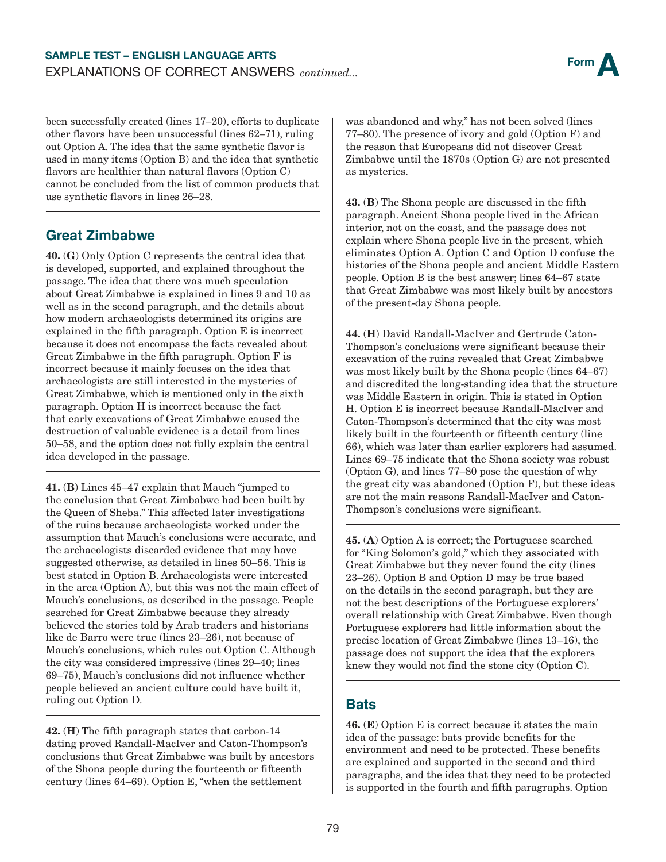been successfully created (lines 17–20), efforts to duplicate other flavors have been unsuccessful (lines 62–71), ruling out Option A. The idea that the same synthetic flavor is used in many items (Option B) and the idea that synthetic flavors are healthier than natural flavors (Option C) cannot be concluded from the list of common products that use synthetic flavors in lines 26–28.

## **Great Zimbabwe**

40. (G) Only Option C represents the central idea that is developed, supported, and explained throughout the passage. The idea that there was much speculation about Great Zimbabwe is explained in lines 9 and 10 as well as in the second paragraph, and the details about how modern archaeologists determined its origins are explained in the fifth paragraph. Option E is incorrect because it does not encompass the facts revealed about Great Zimbabwe in the fifth paragraph. Option F is incorrect because it mainly focuses on the idea that archaeologists are still interested in the mysteries of Great Zimbabwe, which is mentioned only in the sixth paragraph. Option H is incorrect because the fact that early excavations of Great Zimbabwe caused the destruction of valuable evidence is a detail from lines 50–58, and the option does not fully explain the central idea developed in the passage.

41. (B) Lines 45–47 explain that Mauch "jumped to the conclusion that Great Zimbabwe had been built by the Queen of Sheba." This affected later investigations of the ruins because archaeologists worked under the assumption that Mauch's conclusions were accurate, and the archaeologists discarded evidence that may have suggested otherwise, as detailed in lines 50–56. This is best stated in Option B. Archaeologists were interested in the area (Option A), but this was not the main effect of Mauch's conclusions, as described in the passage. People searched for Great Zimbabwe because they already believed the stories told by Arab traders and historians like de Barro were true (lines 23–26), not because of Mauch's conclusions, which rules out Option C. Although the city was considered impressive (lines 29–40; lines 69–75), Mauch's conclusions did not influence whether people believed an ancient culture could have built it, ruling out Option D.

42. (H) The fifth paragraph states that carbon-14 dating proved Randall-MacIver and Caton-Thompson's conclusions that Great Zimbabwe was built by ancestors of the Shona people during the fourteenth or fifteenth century (lines 64–69). Option E, "when the settlement

was abandoned and why," has not been solved (lines 77–80). The presence of ivory and gold (Option F) and the reason that Europeans did not discover Great Zimbabwe until the 1870s (Option G) are not presented as mysteries.

43. (B) The Shona people are discussed in the fifth paragraph. Ancient Shona people lived in the African interior, not on the coast, and the passage does not explain where Shona people live in the present, which eliminates Option A. Option C and Option D confuse the histories of the Shona people and ancient Middle Eastern people. Option B is the best answer; lines 64–67 state that Great Zimbabwe was most likely built by ancestors of the present-day Shona people.

44. (H) David Randall-MacIver and Gertrude Caton-Thompson's conclusions were significant because their excavation of the ruins revealed that Great Zimbabwe was most likely built by the Shona people (lines 64–67) and discredited the long-standing idea that the structure was Middle Eastern in origin. This is stated in Option H. Option E is incorrect because Randall-MacIver and Caton-Thompson's determined that the city was most likely built in the fourteenth or fifteenth century (line 66), which was later than earlier explorers had assumed. Lines 69–75 indicate that the Shona society was robust (Option G), and lines 77–80 pose the question of why the great city was abandoned (Option F), but these ideas are not the main reasons Randall-MacIver and Caton-Thompson's conclusions were significant.

45. (A) Option A is correct; the Portuguese searched for "King Solomon's gold," which they associated with Great Zimbabwe but they never found the city (lines 23–26). Option B and Option D may be true based on the details in the second paragraph, but they are not the best descriptions of the Portuguese explorers' overall relationship with Great Zimbabwe. Even though Portuguese explorers had little information about the precise location of Great Zimbabwe (lines 13–16), the passage does not support the idea that the explorers knew they would not find the stone city (Option C).

#### **Bats**

**46.** ( $E$ ) Option  $E$  is correct because it states the main idea of the passage: bats provide benefits for the environment and need to be protected. These benefits are explained and supported in the second and third paragraphs, and the idea that they need to be protected is supported in the fourth and fifth paragraphs. Option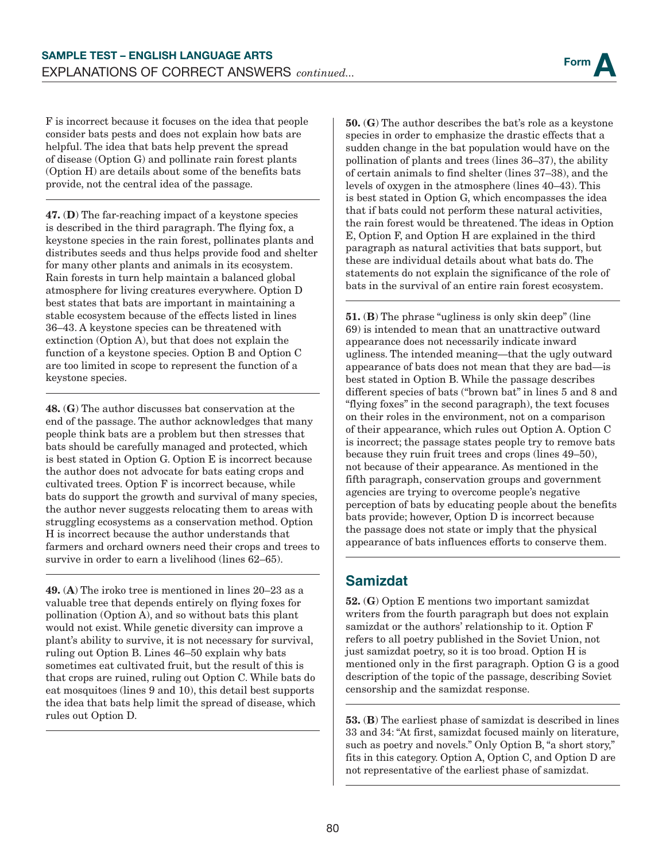F is incorrect because it focuses on the idea that people consider bats pests and does not explain how bats are helpful. The idea that bats help prevent the spread of disease (Option G) and pollinate rain forest plants (Option H) are details about some of the benefits bats provide, not the central idea of the passage.

47. (D) The far-reaching impact of a keystone species is described in the third paragraph. The flying fox, a keystone species in the rain forest, pollinates plants and distributes seeds and thus helps provide food and shelter for many other plants and animals in its ecosystem. Rain forests in turn help maintain a balanced global atmosphere for living creatures everywhere. Option D best states that bats are important in maintaining a stable ecosystem because of the effects listed in lines 36–43. A keystone species can be threatened with extinction (Option A), but that does not explain the function of a keystone species. Option B and Option C are too limited in scope to represent the function of a keystone species.

48. (G) The author discusses bat conservation at the end of the passage. The author acknowledges that many people think bats are a problem but then stresses that bats should be carefully managed and protected, which is best stated in Option G. Option E is incorrect because the author does not advocate for bats eating crops and cultivated trees. Option F is incorrect because, while bats do support the growth and survival of many species, the author never suggests relocating them to areas with struggling ecosystems as a conservation method. Option H is incorrect because the author understands that farmers and orchard owners need their crops and trees to survive in order to earn a livelihood (lines 62–65).

49. (A) The iroko tree is mentioned in lines 20–23 as a valuable tree that depends entirely on flying foxes for pollination (Option A), and so without bats this plant would not exist. While genetic diversity can improve a plant's ability to survive, it is not necessary for survival, ruling out Option B. Lines 46–50 explain why bats sometimes eat cultivated fruit, but the result of this is that crops are ruined, ruling out Option C. While bats do eat mosquitoes (lines 9 and 10), this detail best supports the idea that bats help limit the spread of disease, which rules out Option D.

50. (G) The author describes the bat's role as a keystone species in order to emphasize the drastic effects that a sudden change in the bat population would have on the pollination of plants and trees (lines 36–37), the ability of certain animals to find shelter (lines 37–38), and the levels of oxygen in the atmosphere (lines 40–43). This is best stated in Option G, which encompasses the idea that if bats could not perform these natural activities, the rain forest would be threatened. The ideas in Option E, Option F, and Option H are explained in the third paragraph as natural activities that bats support, but these are individual details about what bats do. The statements do not explain the significance of the role of bats in the survival of an entire rain forest ecosystem.

51. (B) The phrase "ugliness is only skin deep" (line 69) is intended to mean that an unattractive outward appearance does not necessarily indicate inward ugliness. The intended meaning—that the ugly outward appearance of bats does not mean that they are bad—is best stated in Option B. While the passage describes different species of bats ("brown bat" in lines 5 and 8 and "flying foxes" in the second paragraph), the text focuses on their roles in the environment, not on a comparison of their appearance, which rules out Option A. Option C is incorrect; the passage states people try to remove bats because they ruin fruit trees and crops (lines 49–50), not because of their appearance. As mentioned in the fifth paragraph, conservation groups and government agencies are trying to overcome people's negative perception of bats by educating people about the benefits bats provide; however, Option D is incorrect because the passage does not state or imply that the physical appearance of bats influences efforts to conserve them.

#### **Samizdat**

52. (G) Option E mentions two important samizdat writers from the fourth paragraph but does not explain samizdat or the authors' relationship to it. Option F refers to all poetry published in the Soviet Union, not just samizdat poetry, so it is too broad. Option H is mentioned only in the first paragraph. Option G is a good description of the topic of the passage, describing Soviet censorship and the samizdat response.

53. (B) The earliest phase of samizdat is described in lines 33 and 34: "At first, samizdat focused mainly on literature, such as poetry and novels." Only Option B, "a short story," fits in this category. Option A, Option C, and Option D are not representative of the earliest phase of samizdat.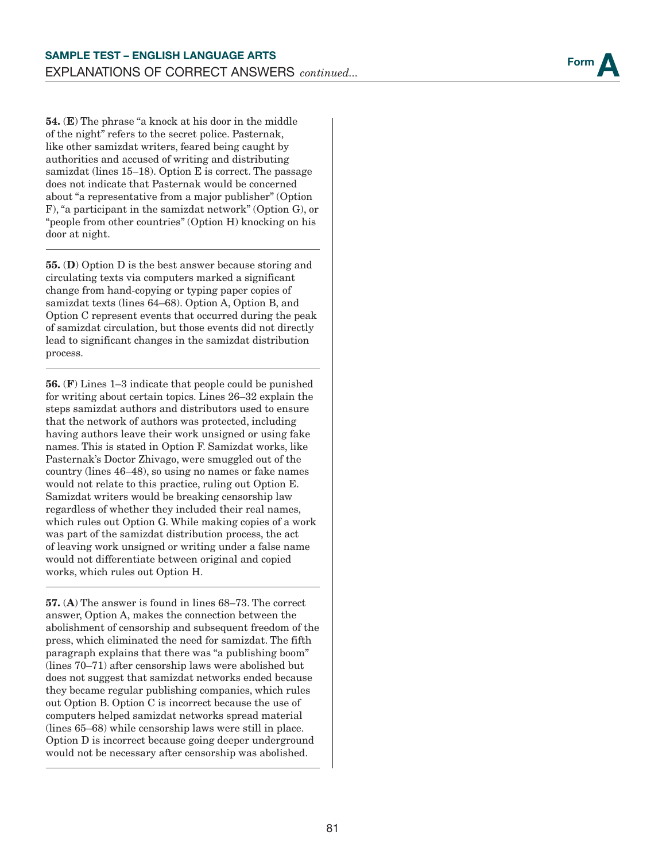

54. (E) The phrase "a knock at his door in the middle of the night" refers to the secret police. Pasternak, like other samizdat writers, feared being caught by authorities and accused of writing and distributing samizdat (lines 15–18). Option E is correct. The passage does not indicate that Pasternak would be concerned about "a representative from a major publisher" (Option F), "a participant in the samizdat network" (Option G), or "people from other countries" (Option H) knocking on his door at night.

55. (D) Option D is the best answer because storing and circulating texts via computers marked a significant change from hand-copying or typing paper copies of samizdat texts (lines 64–68). Option A, Option B, and Option C represent events that occurred during the peak of samizdat circulation, but those events did not directly lead to significant changes in the samizdat distribution process.

56. (F) Lines 1–3 indicate that people could be punished for writing about certain topics. Lines 26–32 explain the steps samizdat authors and distributors used to ensure that the network of authors was protected, including having authors leave their work unsigned or using fake names. This is stated in Option F. Samizdat works, like Pasternak's Doctor Zhivago, were smuggled out of the country (lines 46–48), so using no names or fake names would not relate to this practice, ruling out Option E. Samizdat writers would be breaking censorship law regardless of whether they included their real names, which rules out Option G. While making copies of a work was part of the samizdat distribution process, the act of leaving work unsigned or writing under a false name would not differentiate between original and copied works, which rules out Option H.

57. (A) The answer is found in lines 68–73. The correct answer, Option A, makes the connection between the abolishment of censorship and subsequent freedom of the press, which eliminated the need for samizdat. The fifth paragraph explains that there was "a publishing boom" (lines 70–71) after censorship laws were abolished but does not suggest that samizdat networks ended because they became regular publishing companies, which rules out Option B. Option C is incorrect because the use of computers helped samizdat networks spread material (lines 65–68) while censorship laws were still in place. Option D is incorrect because going deeper underground would not be necessary after censorship was abolished.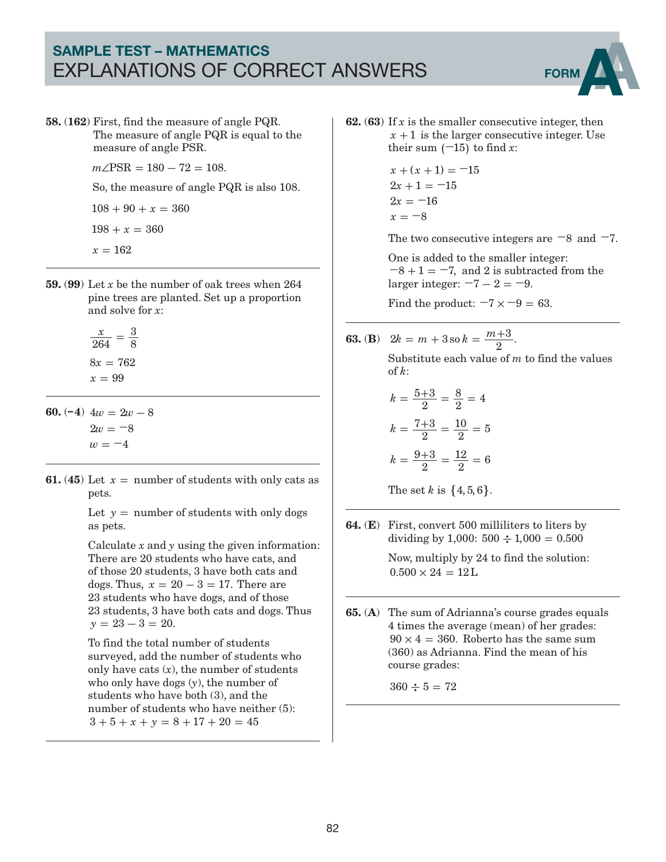## SAMPLE TEST – MATHEMATICS EXPLANATIONS OF CORRECT ANSWERS FORM



58. (162) First, find the measure of angle PQR. The measure of angle PQR is equal to the measure of angle PSR.

 $m\angle$ PSR = 180 - 72 = 108.

So, the measure of angle PQR is also 108.

 $108 + 90 + x = 360$ 

 $198 + x = 360$ 

- $x = 162$
- 59. (99) Let *x* be the number of oak trees when 264 pine trees are planted. Set up a proportion and solve for *x*:
	- *x*  $8x = 762$  $x = 99$ 264 3  $=\frac{8}{8}$
- **60.**  $(-4)$   $4w = 2w 8$  $2w = -8$  $w = -4$
- **61.** (45) Let  $x =$  number of students with only cats as pets.

Let  $y =$  number of students with only dogs as pets.

Calculate *x* and *y* using the given information: There are 20 students who have cats, and of those 20 students, 3 have both cats and dogs. Thus,  $x = 20 - 3 = 17$ . There are 23 students who have dogs, and of those 23 students, 3 have both cats and dogs. Thus  $y = 23 - 3 = 20$ .

To find the total number of students surveyed, add the number of students who only have cats  $(x)$ , the number of students who only have dogs (*y*), the number of students who have both (3), and the number of students who have neither  $(5)$ :  $3 + 5 + x + y = 8 + 17 + 20 = 45$ 

**62.** (63) If  $x$  is the smaller consecutive integer, then  $x + 1$  is the larger consecutive integer. Use their sum  $(-15)$  to find *x*:

$$
x + (x + 1) = -15
$$
  
\n
$$
2x + 1 = -15
$$
  
\n
$$
2x = -16
$$
  
\n
$$
x = -8
$$

The two consecutive integers are **−**8 and **−**7.

One is added to the smaller integer:  $-8 + 1 = -7$ , and 2 is subtracted from the larger integer:  $-7 - 2 = -9$ .

Find the product:  $-7 \times -9 = 63$ .

**63.** (**B**) 
$$
2k = m + 3
$$
 so  $k = \frac{m+3}{2}$ .

Substitute each value of *m* to find the values of *k*:

$$
k = \frac{5+3}{2} = \frac{8}{2} = 4
$$

$$
k = \frac{7+3}{2} = \frac{10}{2} = 5
$$

$$
k = \frac{9+3}{2} = \frac{12}{2} = 6
$$

The set *k* is  $\{4, 5, 6\}$ .

64. (E) First, convert 500 milliliters to liters by dividing by 1,000:  $500 \div 1,000 = 0.500$ 

> Now, multiply by 24 to find the solution:  $0.500 \times 24 = 12$ L

65. (A) The sum of Adrianna's course grades equals 4 times the average (mean) of her grades:  $90 \times 4 = 360$  Roberto has the same sum (360) as Adrianna. Find the mean of his course grades:

 $360 \div 5 = 72$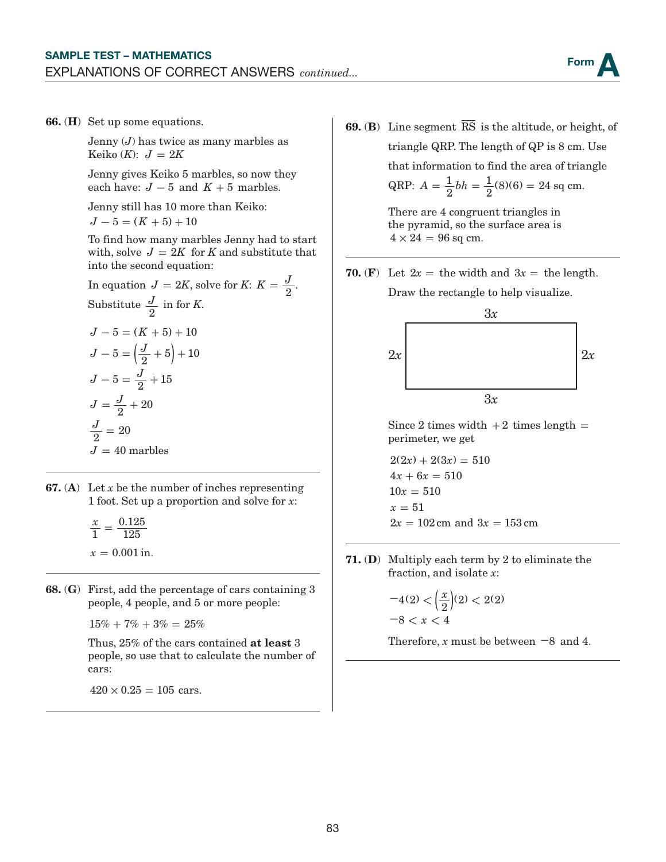

66. (H) Set up some equations.

Jenny (*J*) has twice as many marbles as Keiko  $(K)$ :  $J = 2K$ 

Jenny gives Keiko 5 marbles, so now they each have:  $J - 5$  and  $K + 5$  marbles.

Jenny still has 10 more than Keiko:

 $J - 5 = (K + 5) + 10$ 

To find how many marbles Jenny had to start with, solve  $J = 2K$  for *K* and substitute that into the second equation:

In equation 
$$
J = 2K
$$
, solve for K:  $K = \frac{J}{2}$ .  
\nSubstitute  $\frac{J}{2}$  in for K.  
\n $J - 5 = (K + 5) + 10$   
\n $J - 5 = (\frac{J}{2} + 5) + 10$   
\n $J - 5 = \frac{J}{2} + 15$   
\n $J = \frac{J}{2} + 20$   
\n $\frac{J}{2} = 20$   
\n $J = 40$  marbles

- **67.** (A) Let *x* be the number of inches representing 1 foot. Set up a proportion and solve for *x*:
	- *x*  $x = 0.001$  in. 1 0.125  $=\frac{0.125}{125}$
- 68. (G) First, add the percentage of cars containing 3 people, 4 people, and 5 or more people:

 $15\% + 7\% + 3\% = 25\%$ 

Thus, 25% of the cars contained at least 3 people, so use that to calculate the number of cars:

 $420 \times 0.25 = 105$  cars.

**69. (B)** Line segment  $\overline{\text{RS}}$  is the altitude, or height, of triangle QRP. The length of QP is 8 cm. Use

that information to find the area of triangle

QRP: 
$$
A = \frac{1}{2}bh = \frac{1}{2}(8)(6) = 24
$$
 sq cm.

There are 4 congruent triangles in the pyramid, so the surface area is  $4 \times 24 = 96$  sq cm.

**70.** (F) Let  $2x =$  the width and  $3x =$  the length.

Draw the rectangle to help visualize.



Since 2 times width  $+2$  times length  $=$ perimeter, we get

$$
2(2x) + 2(3x) = 510
$$
  
\n
$$
4x + 6x = 510
$$
  
\n
$$
10x = 510
$$
  
\n
$$
x = 51
$$
  
\n
$$
2x = 102 \text{ cm and } 3x = 153 \text{ cm}
$$

71. (D) Multiply each term by 2 to eliminate the fraction, and isolate *x*:

$$
-4(2) < \left(\frac{x}{2}\right)(2) < 2(2) -8 < x < 4
$$

Therefore, *x* must be between **−**8 and 4.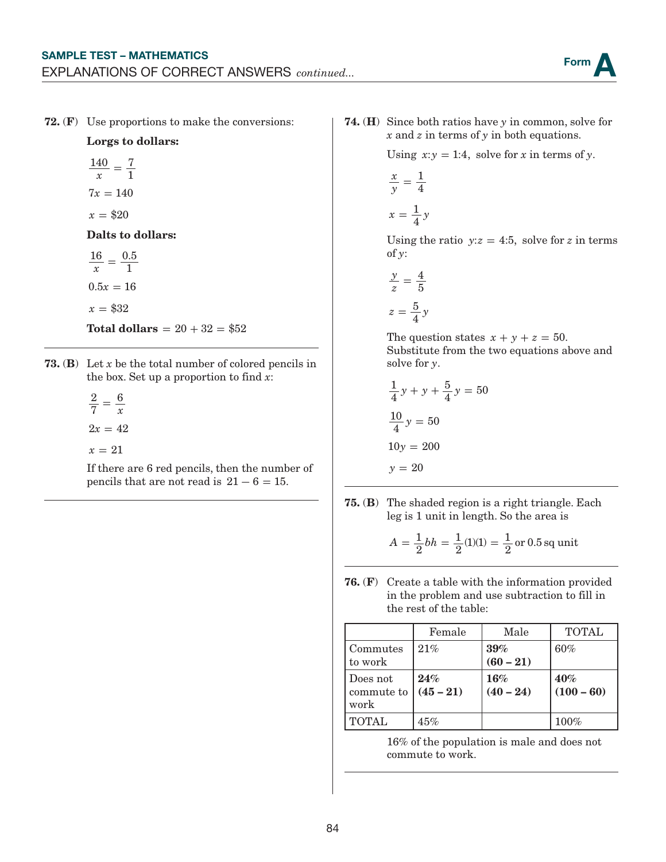72. (F) Use proportions to make the conversions:

Lorgs to dollars:

$$
\frac{140}{x} = \frac{7}{1}
$$

$$
7x = 140
$$

 $x = $20$ 

Dalts to dollars:

*x*  $0.5x = 16$  $x = $32$  $16 - 0.5$  $=\frac{0.8}{1}$ 

**Total dollars =**  $20 + 32 = $52$ 

- 73. (B) Let *x* be the total number of colored pencils in the box. Set up a proportion to find *x*:
	- *x*  $2x = 42$  $x = 21$ 2 7  $=$  $\frac{6}{1}$

If there are 6 red pencils, then the number of pencils that are not read is  $21 - 6 = 15$ .

74. (H) Since both ratios have *y* in common, solve for *x* and *z* in terms of *y* in both equations.

Using  $x:y = 1:4$ , solve for *x* in terms of *y*.

$$
\frac{x}{y} = \frac{1}{4}
$$

$$
x = \frac{1}{4}y
$$

Using the ratio  $y:z=4.5$ , solve for *z* in terms of *y*:

$$
\frac{y}{z} = \frac{4}{5}
$$

$$
z = \frac{5}{4}y
$$

The question states  $x + y + z = 50$ . Substitute from the two equations above and solve for *y*.

$$
\frac{1}{4}y + y + \frac{5}{4}y = 50
$$

$$
\frac{10}{4}y = 50
$$

$$
10y = 200
$$

$$
y = 20
$$

75. (B) The shaded region is a right triangle. Each leg is 1 unit in length. So the area is

$$
A = \frac{1}{2}bh = \frac{1}{2}(1)(1) = \frac{1}{2}
$$
 or 0.5 sq unit

76. (F) Create a table with the information provided in the problem and use subtraction to fill in the rest of the table:

|                                | Female             | Male               |                     |  |
|--------------------------------|--------------------|--------------------|---------------------|--|
| Commutes<br>to work            | 21%                | 39%<br>$(60 - 21)$ | 60%                 |  |
| Does not<br>commute to<br>work | 24%<br>$(45 - 21)$ | 16%<br>$(40 - 24)$ | 40%<br>$(100 - 60)$ |  |
| <b>TOTAL</b>                   | 45%                |                    | 100%                |  |

16% of the population is male and does not commute to work.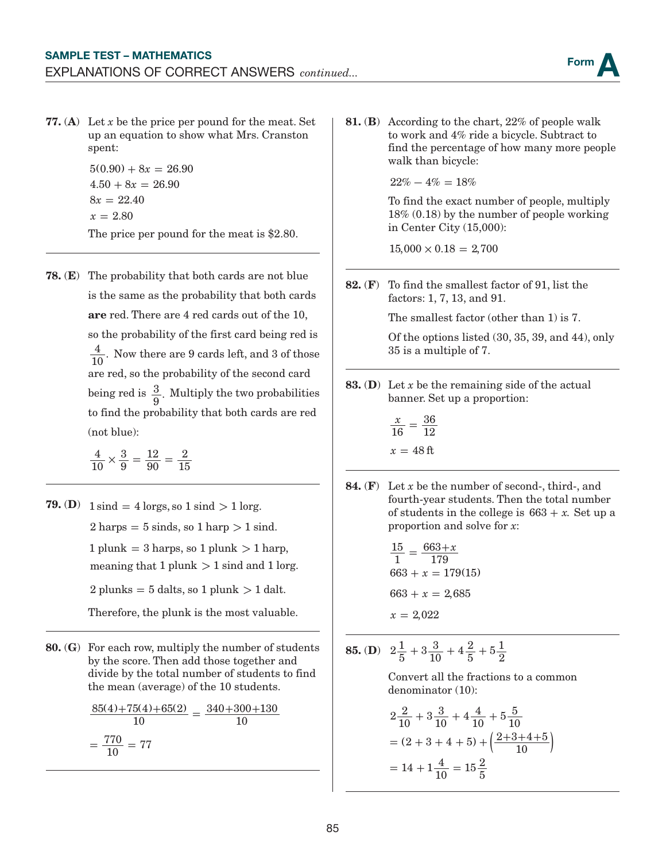77. (A) Let *x* be the price per pound for the meat. Set up an equation to show what Mrs. Cranston spent:

> $5(0.90) + 8x = 26.90$  $4.50 + 8x = 26.90$  $8x = 22.40$  $x = 2.80$ The price per pound for the meat is \$2.80.

78. (E) The probability that both cards are not blue is the same as the probability that both cards are red. There are 4 red cards out of the 10, so the probability of the first card being red is  $\frac{4}{10}$ . Now there are 9 cards left, and 3 of those are red, so the probability of the second card being red is  $\frac{3}{9}$ . Multiply the two probabilities to find the probability that both cards are red (not blue):

> 4 10 3 9 12 90  $\times \frac{3}{9} = \frac{12}{90} = \frac{2}{15}$

- **79.** (**D**)  $1 \text{ sind} = 4 \text{ lorgs, so } 1 \text{ sind} > 1 \text{ lorg.}$  $2 \text{ harps} = 5 \text{ sinds, so } 1 \text{ harp} > 1 \text{ sind.}$  $1$  plunk =  $3$  harps, so  $1$  plunk  $> 1$  harp, meaning that  $1$  plunk  $> 1$  sind and  $1$  lorg.  $2$  plunks  $= 5$  dalts, so 1 plunk  $> 1$  dalt. Therefore, the plunk is the most valuable.
- 80. (G) For each row, multiply the number of students by the score. Then add those together and divide by the total number of students to find the mean (average) of the 10 students.

$$
\frac{85(4) + 75(4) + 65(2)}{10} = \frac{340 + 300 + 130}{10}
$$

$$
= \frac{770}{10} = 77
$$

81. (B) According to the chart, 22% of people walk to work and 4% ride a bicycle. Subtract to find the percentage of how many more people walk than bicycle:

 $22\% - 4\% = 18\%$ 

To find the exact number of people, multiply 18% (0.18) by the number of people working in Center City (15,000):

 $15,000 \times 0.18 = 2,700$ 

82. (F) To find the smallest factor of 91, list the factors: 1, 7, 13, and 91.

The smallest factor (other than 1) is 7.

Of the options listed (30, 35, 39, and 44), only 35 is a multiple of 7.

83. (D) Let *x* be the remaining side of the actual banner. Set up a proportion:

$$
\frac{x}{16} = \frac{36}{12}
$$

$$
x = 48 \text{ ft}
$$

84. (F) Let *x* be the number of second-, third-, and fourth-year students. Then the total number of students in the college is  $663 + x$ . Set up a proportion and solve for *x*:

$$
\frac{15}{1} = \frac{663 + x}{179}
$$
  
663 + x = 179(15)  
663 + x = 2,685  
x = 2,022

**85.** (**D**)  $2\frac{1}{5} + 3\frac{3}{10} + 4\frac{2}{5} + 5\frac{1}{2}$ 

Convert all the fractions to a common denominator (10):

$$
2\frac{2}{10} + 3\frac{3}{10} + 4\frac{4}{10} + 5\frac{5}{10}
$$
  
=  $(2 + 3 + 4 + 5) + \left(\frac{2+3+4+5}{10}\right)$   
=  $14 + 1\frac{4}{10} = 15\frac{2}{5}$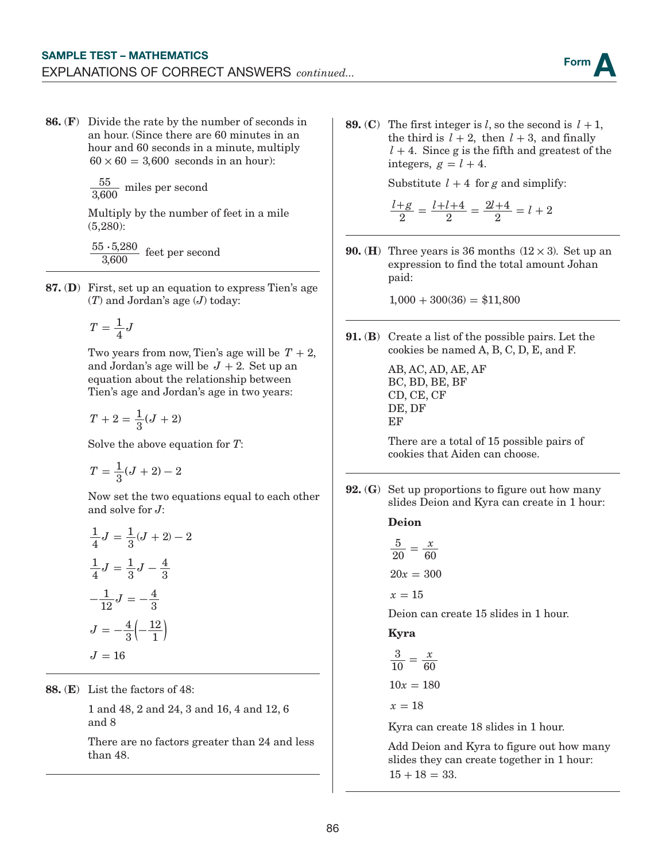86. (F) Divide the rate by the number of seconds in an hour. (Since there are 60 minutes in an hour and 60 seconds in a minute, multiply  $60 \times 60 = 3,600$  seconds in an hour):

 $\frac{55}{3,600}$  miles per second

Multiply by the number of feet in a mile (5,280):

 $55 \cdot 5,280$ 3,600 feet per second

87. (D) First, set up an equation to express Tien's age (*T*) and Jordan's age (*J*) today:

$$
T=\frac{1}{4}J
$$

Two years from now, Tien's age will be  $T + 2$ , and Jordan's age will be  $J + 2$ . Set up an equation about the relationship between Tien's age and Jordan's age in two years:

$$
T+2=\frac{1}{3}(J+2)
$$

Solve the above equation for *T*:

$$
T = \frac{1}{3}(J+2) - 2
$$

Now set the two equations equal to each other and solve for *J*:

$$
\frac{1}{4}J = \frac{1}{3}(J+2) - 2
$$

$$
\frac{1}{4}J = \frac{1}{3}J - \frac{4}{3}
$$

$$
-\frac{1}{12}J = -\frac{4}{3}
$$

$$
J = -\frac{4}{3}\left(-\frac{12}{1}\right)
$$

$$
J = 16
$$

88. (E) List the factors of 48:

1 and 48, 2 and 24, 3 and 16, 4 and 12, 6 and 8

There are no factors greater than 24 and less than 48.

**89.** (C) The first integer is *l*, so the second is  $l + 1$ , the third is  $l + 2$ , then  $l + 3$ , and finally  $l + 4$ . Since g is the fifth and greatest of the integers,  $g = l + 4$ .

Substitute  $l + 4$  for g and simplify:

$$
\frac{l+g}{2} = \frac{l+l+4}{2} = \frac{2l+4}{2} = l+2
$$

**90.** (**H**) Three years is 36 months  $(12 \times 3)$ . Set up an expression to find the total amount Johan paid:

 $1,000 + 300(36) = $11,800$ 

91. (B) Create a list of the possible pairs. Let the cookies be named A, B, C, D, E, and F.

> AB, AC, AD, AE, AF BC, BD, BE, BF CD, CE, CF DE, DF EF

There are a total of 15 possible pairs of cookies that Aiden can choose.

92. (G) Set up proportions to figure out how many slides Deion and Kyra can create in 1 hour:

Deion

$$
\frac{5}{20} = \frac{x}{60}
$$

$$
20x = 300
$$

$$
x = 15
$$

Deion can create 15 slides in 1 hour.

Kyra

$$
\frac{3}{10} = \frac{x}{60}
$$

$$
10x = 180
$$

$$
x = 18
$$

Kyra can create 18 slides in 1 hour.

Add Deion and Kyra to figure out how many slides they can create together in 1 hour:  $15 + 18 = 33.$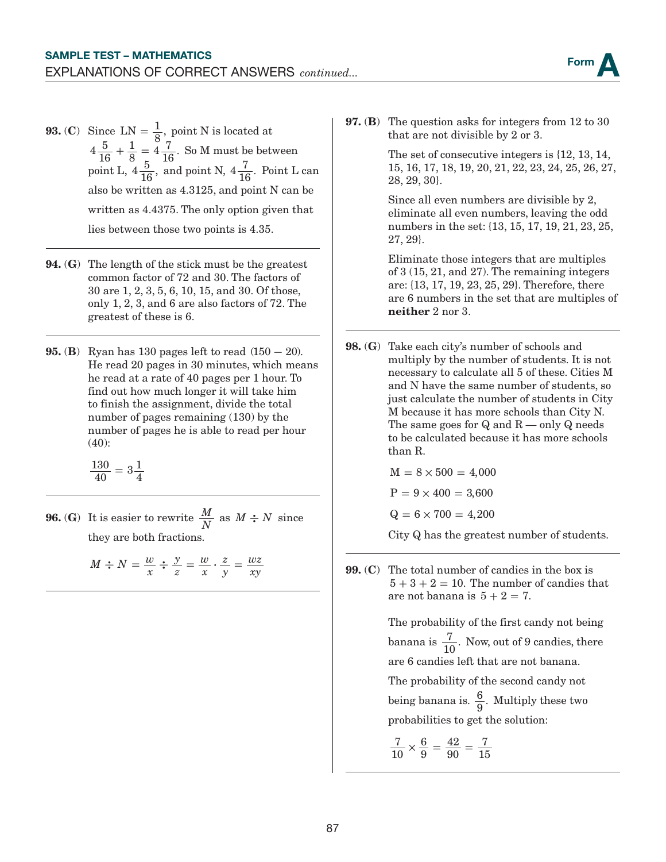**93.** (C) Since  $LN = \frac{1}{8}$ , point N is located at  $4\frac{5}{16}$  $+\frac{1}{8} = 4\frac{7}{16}$ . So M must be between point L,  $4\frac{5}{16}$ , and point N,  $4\frac{7}{16}$ . Point L can also be written as 4.3125, and point N can be written as 4.4375. The only option given that lies between those two points is 4.35.

- 94. (G) The length of the stick must be the greatest common factor of 72 and 30. The factors of 30 are 1, 2, 3, 5, 6, 10, 15, and 30. Of those, only 1, 2, 3, and 6 are also factors of 72. The greatest of these is 6.
- 95. (B) Ryan has 130 pages left to read (150 **−** 20). He read 20 pages in 30 minutes, which means he read at a rate of 40 pages per 1 hour. To find out how much longer it will take him to finish the assignment, divide the total number of pages remaining (130) by the number of pages he is able to read per hour (40):

 $\frac{130}{40} = 3\frac{1}{4}$ 

**96.** (G) It is easier to rewrite  $\frac{M}{N}$  as  $M \div N$  since they are both fractions.

> $M \div N = \frac{w}{x}$ *y z w x z y wz*  $\frac{2}{x}N = \frac{w}{x} \div \frac{y}{z} = \frac{w}{x} \cdot \frac{z}{y} = \frac{wz}{xy}$

97. (B) The question asks for integers from 12 to 30 that are not divisible by 2 or 3.

> The set of consecutive integers is {12, 13, 14, 15, 16, 17, 18, 19, 20, 21, 22, 23, 24, 25, 26, 27, 28, 29, 30}.

Since all even numbers are divisible by 2, eliminate all even numbers, leaving the odd numbers in the set: {13, 15, 17, 19, 21, 23, 25, 27, 29}.

Eliminate those integers that are multiples of 3 (15, 21, and 27). The remaining integers are: {13, 17, 19, 23, 25, 29}. Therefore, there are 6 numbers in the set that are multiples of neither 2 nor 3.

98. (G) Take each city's number of schools and multiply by the number of students. It is not necessary to calculate all 5 of these. Cities M and N have the same number of students, so just calculate the number of students in City M because it has more schools than City N. The same goes for  $Q$  and  $R$  — only  $Q$  needs to be calculated because it has more schools than R.

$$
M=8\times500=4,000
$$

 $P = 9 \times 400 = 3{,}600$ 

 $Q = 6 \times 700 = 4,200$ 

City Q has the greatest number of students.

99. (C) The total number of candies in the box is  $5 + 3 + 2 = 10$ . The number of candies that are not banana is  $5 + 2 = 7$ .

> The probability of the first candy not being banana is  $\frac{7}{10}$ . Now, out of 9 candies, there are 6 candies left that are not banana.

The probability of the second candy not being banana is.  $\frac{6}{9}$ . Multiply these two probabilities to get the solution:

$$
\frac{7}{10} \times \frac{6}{9} = \frac{42}{90} = \frac{7}{15}
$$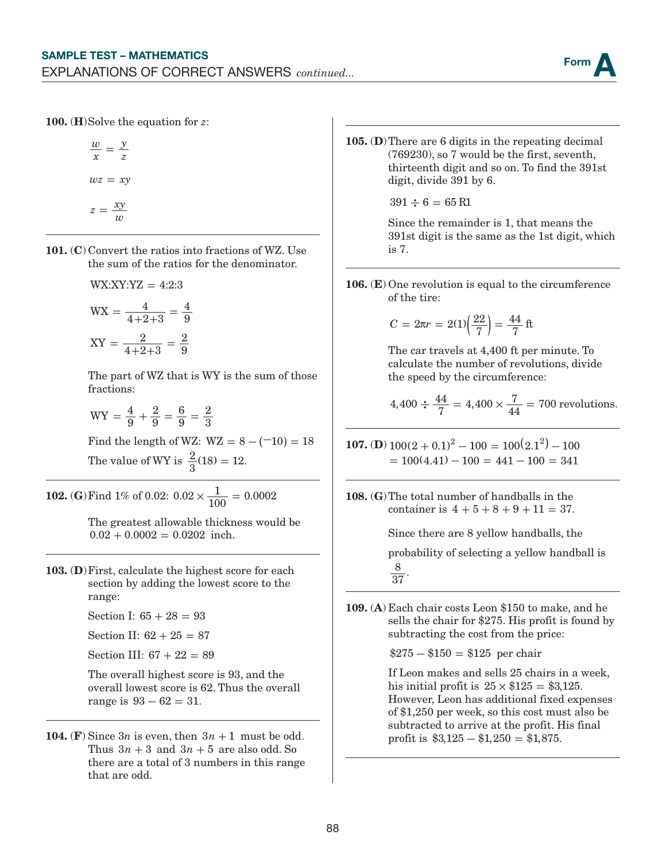

100. (H)Solve the equation for *z*:

$$
\frac{w}{x} = \frac{y}{z}
$$

$$
wz = xy
$$

$$
z = \frac{xy}{w}
$$

- 101. (C) Convert the ratios into fractions of WZ. Use the sum of the ratios for the denominator.
	- $WX:XY:YZ = 4:2:3$

$$
WX = \frac{4}{4+2+3} = \frac{4}{9}
$$

$$
XY = \frac{2}{4+2+3} = \frac{2}{9}
$$

The part of WZ that is WY is the sum of those fractions:

$$
WY = \frac{4}{9} + \frac{2}{9} = \frac{6}{9} = \frac{2}{3}
$$

Find the length of WZ:  $WZ = 8 - (-10) = 18$ 

The value of WY is  $\frac{2}{3}(18) = 12$ .

**102.** (**G**) Find 1% of 0.02:  $0.02 \times \frac{1}{100} = 0.0002$ 

The greatest allowable thickness would be  $0.02 + 0.0002 = 0.0202$  inch.

103. (D)First, calculate the highest score for each section by adding the lowest score to the range:

Section I:  $65 + 28 = 93$ 

Section II:  $62 + 25 = 87$ 

Section III:  $67 + 22 = 89$ 

The overall highest score is 93, and the overall lowest score is 62. Thus the overall range is  $93 - 62 = 31$ .

104. (F) Since  $3n$  is even, then  $3n + 1$  must be odd. Thus  $3n + 3$  and  $3n + 5$  are also odd. So there are a total of 3 numbers in this range that are odd.

105. (D)There are 6 digits in the repeating decimal (769230), so 7 would be the first, seventh, thirteenth digit and so on. To find the 391st digit, divide 391 by 6.

 $391 \div 6 = 65 \text{ R1}$ 

Since the remainder is 1, that means the 391st digit is the same as the 1st digit, which is 7.

106. (E) One revolution is equal to the circumference of the tire:

$$
C = 2\pi r = 2(1)\left(\frac{22}{7}\right) = \frac{44}{7}
$$
 ft

The car travels at 4,400 ft per minute. To calculate the number of revolutions, divide the speed by the circumference:

$$
4,400 \div \frac{44}{7} = 4,400 \times \frac{7}{44} = 700
$$
 revolutions.

**107.** (**D**)  $100(2 + 0.1)^2 - 100 = 100(2.1^2) - 100$  $= 100(4.41) - 100 = 441 - 100 = 341$ 

108. (G)The total number of handballs in the container is  $4 + 5 + 8 + 9 + 11 = 37$ .

> Since there are 8 yellow handballs, the probability of selecting a yellow handball is

 $\frac{8}{37}$ .

109. (A) Each chair costs Leon \$150 to make, and he sells the chair for \$275. His profit is found by subtracting the cost from the price:

 $$275 - $150 = $125$  per chair

If Leon makes and sells 25 chairs in a week, his initial profit is  $25 \times $125 = $3,125$ . However, Leon has additional fixed expenses of \$1,250 per week, so this cost must also be subtracted to arrive at the profit. His final profit is  $\$3,125 - \$1,250 = \$1,875$ .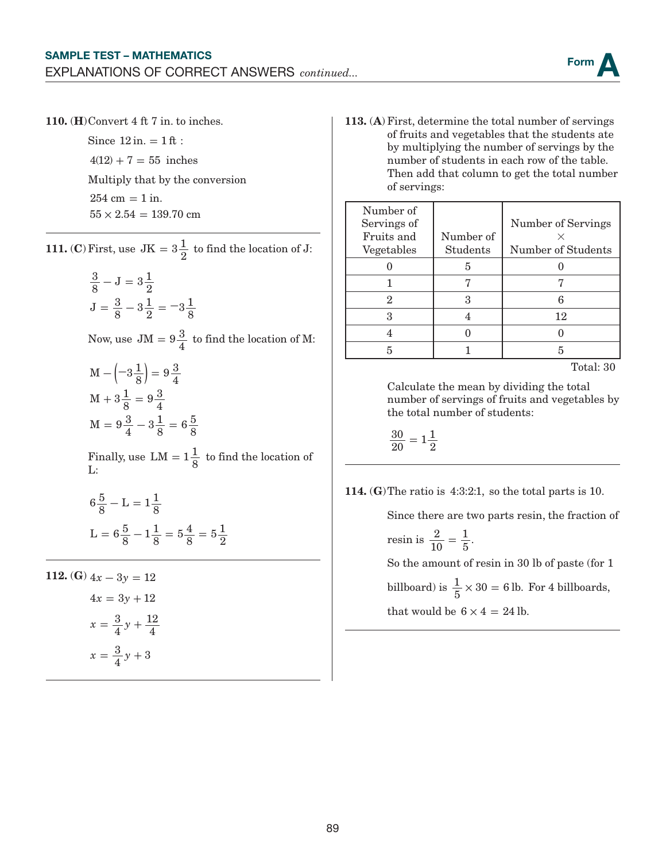

110. (H)Convert 4 ft 7 in. to inches.

Since  $12$  in.  $= 1$  ft :  $4(12) + 7 = 55$  inches Multiply that by the conversion  $254 \text{ cm} = 1 \text{ in.}$  $55 \times 2.54 = 139.70$  cm

**111.** (**C**) First, use  $JK = 3\frac{1}{2}$  to find the location of J:

$$
\frac{3}{8} - J = 3\frac{1}{2}
$$
  

$$
J = \frac{3}{8} - 3\frac{1}{2} = -3\frac{1}{8}
$$

Now, use  $JM = 9\frac{3}{4}$  to find the location of M:

$$
M - \left(-3\frac{1}{8}\right) = 9\frac{3}{4}
$$
  

$$
M + 3\frac{1}{8} = 9\frac{3}{4}
$$
  

$$
M = 9\frac{3}{4} - 3\frac{1}{8} = 6\frac{5}{8}
$$

Finally, use  $LM = 1\frac{1}{8}$  to find the location of L:

$$
6\frac{5}{8} - L = 1\frac{1}{8}
$$
  

$$
L = 6\frac{5}{8} - 1\frac{1}{8} = 5\frac{4}{8} = 5\frac{1}{2}
$$

112. **(G)**  $4x - 3y = 12$  $4x = 3y + 12$  $x = \frac{3}{4}y$  $x = \frac{3}{4}y + 3$ 4 12  $=\frac{3}{4}y+\frac{12}{4}$ 

113. (A) First, determine the total number of servings of fruits and vegetables that the students ate by multiplying the number of servings by the number of students in each row of the table. Then add that column to get the total number of servings:

| Number of   |           |                    |
|-------------|-----------|--------------------|
| Servings of |           | Number of Servings |
| Fruits and  | Number of |                    |
| Vegetables  | Students  | Number of Students |
|             | 5         |                    |
|             |           |                    |
| 2           |           |                    |
| Q           |           | 12                 |
|             |           |                    |
|             |           | 5                  |

Total: 30

Calculate the mean by dividing the total number of servings of fruits and vegetables by the total number of students:

 $\frac{30}{20} = 1\frac{1}{2}$ 

114. (G)The ratio is 4:3:2:1, so the total parts is 10.

Since there are two parts resin, the fraction of

$$
resin is \frac{2}{10} = \frac{1}{5}.
$$

So the amount of resin in 30 lb of paste (for 1

billboard) is  $\frac{1}{5} \times 30 = 6$  lb. For 4 billboards, that would be  $6 \times 4 = 24$  lb.